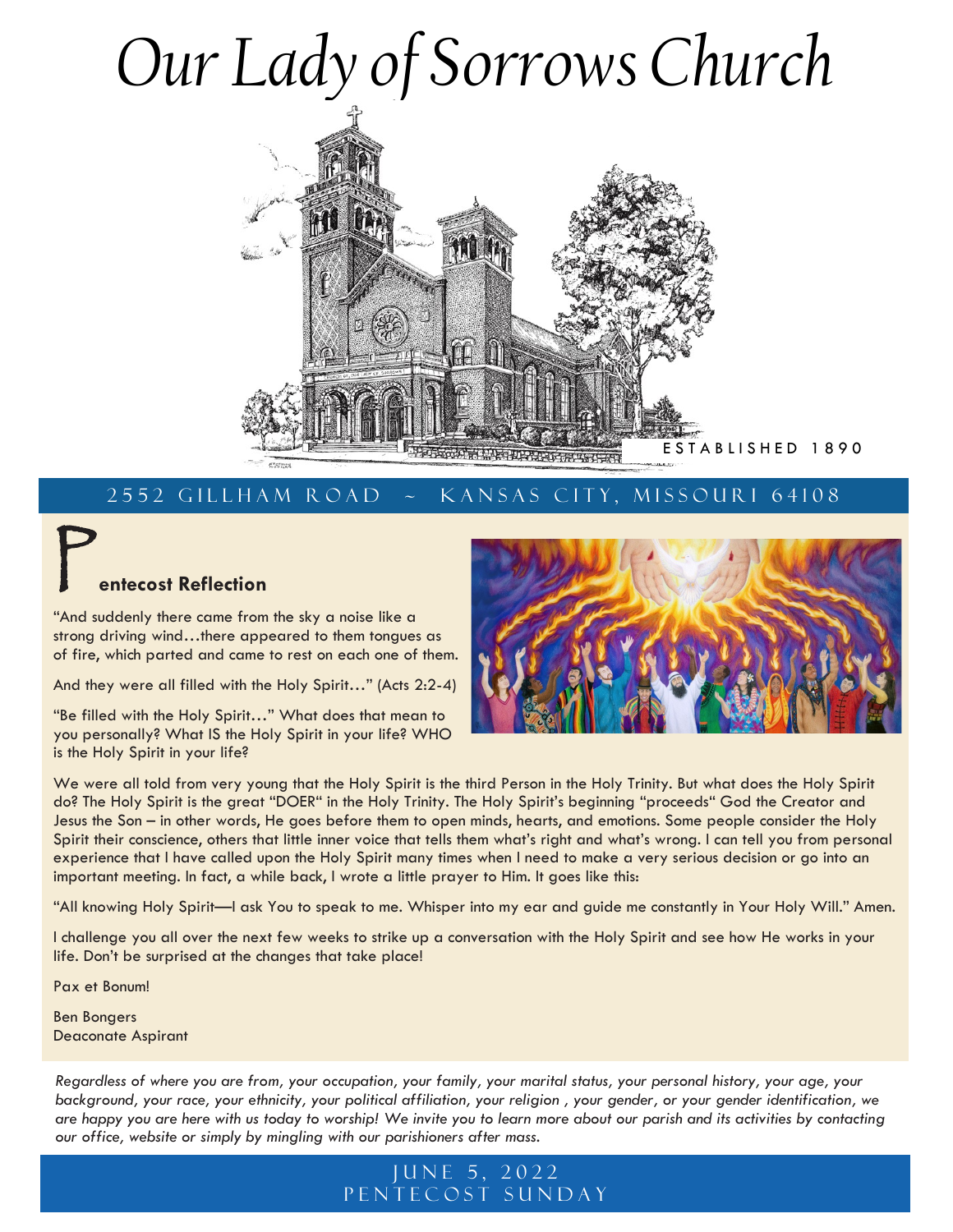# *Our Lady of Sorrows Church*



## 2552 GILLHAM ROAD ~ KANSAS CITY, MISSOURI 64108

## *<u>entecost</u>* Reflection

"And suddenly there came from the sky a noise like a strong driving wind…there appeared to them tongues as of fire, which parted and came to rest on each one of them.

And they were all filled with the Holy Spirit…" (Acts 2:2-4)

"Be filled with the Holy Spirit…" What does that mean to you personally? What IS the Holy Spirit in your life? WHO is the Holy Spirit in your life?



We were all told from very young that the Holy Spirit is the third Person in the Holy Trinity. But what does the Holy Spirit do? The Holy Spirit is the great "DOER" in the Holy Trinity. The Holy Spirit's beginning "proceeds" God the Creator and Jesus the Son – in other words, He goes before them to open minds, hearts, and emotions. Some people consider the Holy Spirit their conscience, others that little inner voice that tells them what's right and what's wrong. I can tell you from personal experience that I have called upon the Holy Spirit many times when I need to make a very serious decision or go into an important meeting. In fact, a while back, I wrote a little prayer to Him. It goes like this:

"All knowing Holy Spirit—I ask You to speak to me. Whisper into my ear and guide me constantly in Your Holy Will." Amen.

I challenge you all over the next few weeks to strike up a conversation with the Holy Spirit and see how He works in your life. Don't be surprised at the changes that take place!

Pax et Bonum!

Ben Bongers Deaconate Aspirant

*Regardless of where you are from, your occupation, your family, your marital status, your personal history, your age, your background, your race, your ethnicity, your political affiliation, your religion , your gender, or your gender identification, we are happy you are here with us today to worship! We invite you to learn more about our parish and its activities by contacting our office, website or simply by mingling with our parishioners after mass.*

## JUNE 5, 2022 PENTECOST SUNDAY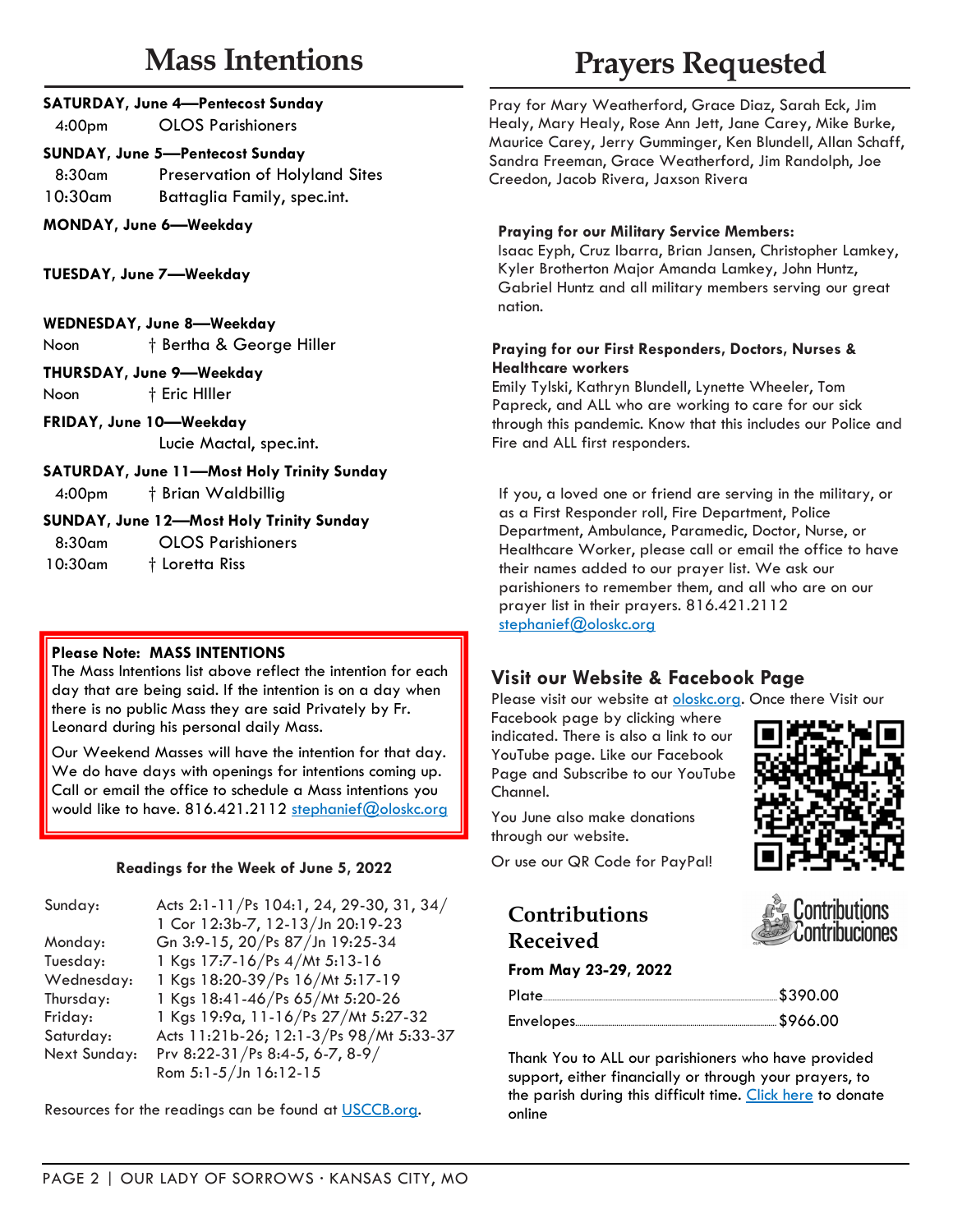# **Mass Intentions**

4:00pm OLOS Parishioners

### **SUNDAY, June 5—Pentecost Sunday**

8:30am Preservation of Holyland Sites 10:30am Battaglia Family, spec.int.

**MONDAY, June 6—Weekday**

**TUESDAY, June 7—Weekday**

| <b>WEDNESDAY, June 8-Weekday</b> |  |
|----------------------------------|--|
|----------------------------------|--|

Noon † Bertha & George Hiller

#### **THURSDAY, June 9—Weekday**

Noon  $\dagger$  Eric Hiller

**FRIDAY, June 10—Weekday** Lucie Mactal, spec.int.

**SATURDAY, June 11—Most Holy Trinity Sunday** 4:00pm † Brian Waldbillig

## **SUNDAY, June 12—Most Holy Trinity Sunday**

8:30am OLOS Parishioners

10:30am † Loretta Riss

## **Please Note: MASS INTENTIONS**

The Mass Intentions list above reflect the intention for each day that are being said. If the intention is on a day when there is no public Mass they are said Privately by Fr. Leonard during his personal daily Mass.

Our Weekend Masses will have the intention for that day. We do have days with openings for intentions coming up. Call or email the office to schedule a Mass intentions you would like to have. 816.421.2112 [stephanief@oloskc.org](mailto:stephanief@oloskc.org?subject=Mass%20Intention%20Request)

## **Readings for the Week of June 5, 2022**

| Sunday:      | Acts 2:1-11/Ps 104:1, 24, 29-30, 31, 34/ |
|--------------|------------------------------------------|
|              | 1 Cor 12:3b-7, 12-13/Jn 20:19-23         |
| Monday:      | Gn 3:9-15, 20/Ps 87/Jn 19:25-34          |
| Tuesday:     | 1 Kgs 17:7-16/Ps 4/Mt 5:13-16            |
| Wednesday:   | 1 Kgs 18:20-39/Ps 16/Mt 5:17-19          |
| Thursday:    | 1 Kgs 18:41-46/Ps 65/Mt 5:20-26          |
| Friday:      | 1 Kgs 19:9a, 11-16/Ps 27/Mt 5:27-32      |
| Saturday:    | Acts 11:21b-26; 12:1-3/Ps 98/Mt 5:33-37  |
| Next Sunday: | Prv 8:22-31/Ps 8:4-5, 6-7, 8-9/          |
|              | Rom 5:1-5/Jn 16:12-15                    |

Resources for the readings can be found at [USCCB.org.](http://usccb.org/)

# **Prayers Requested**

Pray for Mary Weatherford, Grace Diaz, Sarah Eck, Jim Healy, Mary Healy, Rose Ann Jett, Jane Carey, Mike Burke, Maurice Carey, Jerry Gumminger, Ken Blundell, Allan Schaff, Sandra Freeman, Grace Weatherford, Jim Randolph, Joe Creedon, Jacob Rivera, Jaxson Rivera

## **Praying for our Military Service Members:**

Isaac Eyph, Cruz Ibarra, Brian Jansen, Christopher Lamkey, Kyler Brotherton Major Amanda Lamkey, John Huntz, Gabriel Huntz and all military members serving our great nation.

#### **Praying for our First Responders, Doctors, Nurses & Healthcare workers**

Emily Tylski, Kathryn Blundell, Lynette Wheeler, Tom Papreck, and ALL who are working to care for our sick through this pandemic. Know that this includes our Police and Fire and ALL first responders.

If you, a loved one or friend are serving in the military, or as a First Responder roll, Fire Department, Police Department, Ambulance, Paramedic, Doctor, Nurse, or Healthcare Worker, please call or email the office to have their names added to our prayer list. We ask our parishioners to remember them, and all who are on our prayer list in their prayers. 816.421.2112 [stephanief@oloskc.org](mailto:stephanief@oloskc.org?subject=Prayer%20Request)

## **Visit our Website & Facebook Page**

Please visit our website at **oloskc.org**. Once there Visit our

Facebook page by clicking where indicated. There is also a link to our YouTube page. Like our Facebook Page and Subscribe to our YouTube Channel.



tribuciones

You June also make donations through our website.

Or use our QR Code for PayPal!

## **Contributions Received**

#### **From May 23-29, 2022**

| Plate | 5390.00 |
|-------|---------|
|       |         |

Thank You to ALL our parishioners who have provided support, either financially or through your prayers, to the parish during this difficult time. [Click here](https://www.paypal.com/donate/?cmd=_s-xclick&hosted_button_id=DM53QRVE4E7BY&source=url) to donate online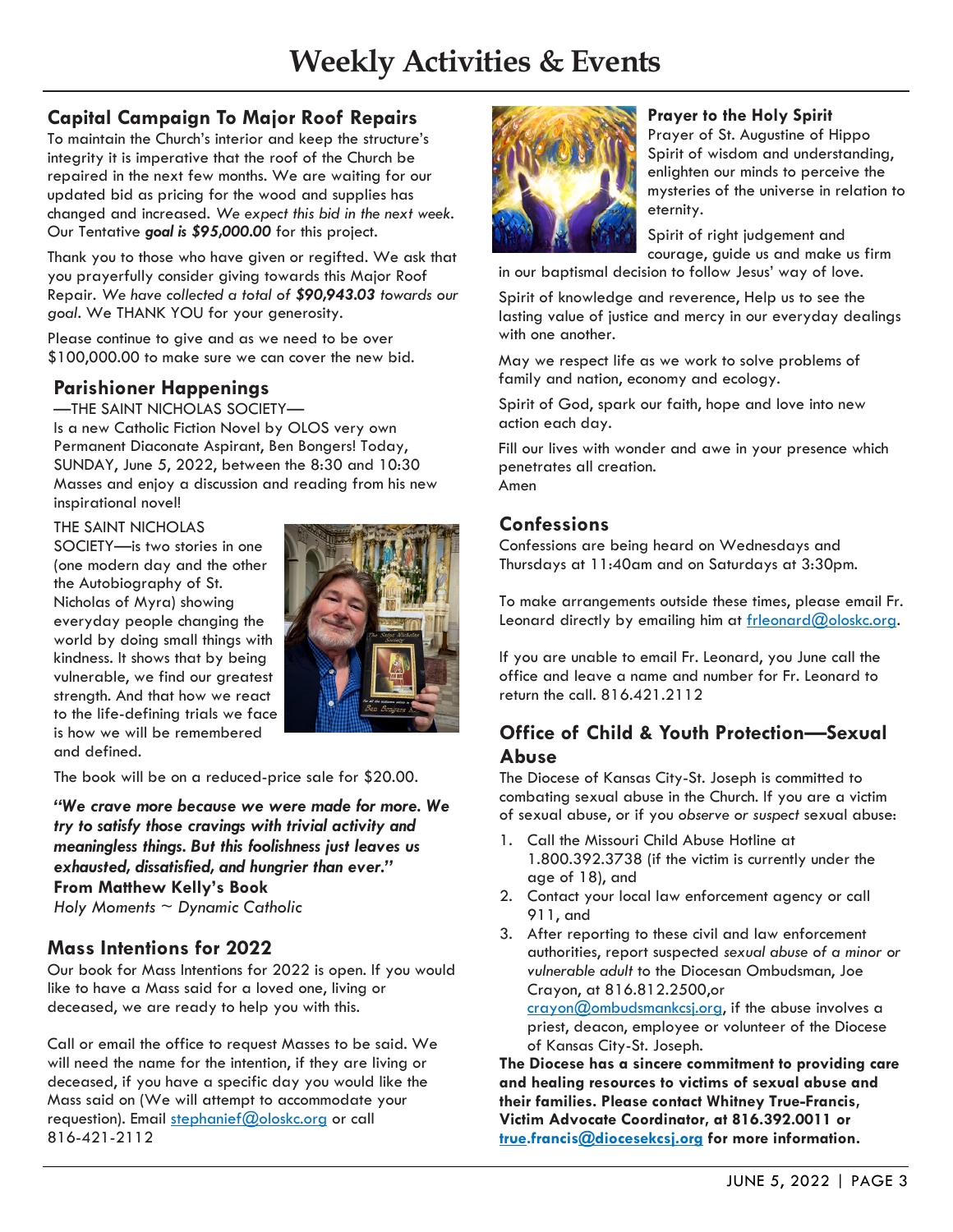## **Capital Campaign To Major Roof Repairs**

To maintain the Church's interior and keep the structure's integrity it is imperative that the roof of the Church be repaired in the next few months. We are waiting for our updated bid as pricing for the wood and supplies has changed and increased. *We expect this bid in the next week.* Our Tentative *goal is \$95,000.00* for this project.

Thank you to those who have given or regifted. We ask that you prayerfully consider giving towards this Major Roof Repair. *We have collected a total of \$90,943.03 towards our goal.* We THANK YOU for your generosity.

Please continue to give and as we need to be over \$100,000.00 to make sure we can cover the new bid.

## **Parishioner Happenings**

—THE SAINT NICHOLAS SOCIETY—

Is a new Catholic Fiction Novel by OLOS very own Permanent Diaconate Aspirant, Ben Bongers! Today, SUNDAY, June 5, 2022, between the 8:30 and 10:30 Masses and enjoy a discussion and reading from his new inspirational novel!

#### THE SAINT NICHOLAS

SOCIETY—is two stories in one (one modern day and the other the Autobiography of St. Nicholas of Myra) showing everyday people changing the world by doing small things with kindness. It shows that by being vulnerable, we find our greatest strength. And that how we react to the life-defining trials we face is how we will be remembered and defined.



The book will be on a reduced-price sale for \$20.00.

*"We crave more because we were made for more. We try to satisfy those cravings with trivial activity and meaningless things. But this foolishness just leaves us exhausted, dissatisfied, and hungrier than ever."* **From Matthew Kelly's Book** *Holy Moments ~ Dynamic Catholic*

## **Mass Intentions for 2022**

Our book for Mass Intentions for 2022 is open. If you would like to have a Mass said for a loved one, living or deceased, we are ready to help you with this.

Call or email the office to request Masses to be said. We will need the name for the intention, if they are living or deceased, if you have a specific day you would like the Mass said on (We will attempt to accommodate your requestion). Email [stephanief@oloskc.org](mailto:stephanief@oloskc.org?subject=Mass%20Intentions) or call 816-421-2112



#### **Prayer to the Holy Spirit**

Prayer of St. Augustine of Hippo Spirit of wisdom and understanding, enlighten our minds to perceive the mysteries of the universe in relation to eternity.

Spirit of right judgement and courage, guide us and make us firm

in our baptismal decision to follow Jesus' way of love.

Spirit of knowledge and reverence, Help us to see the lasting value of justice and mercy in our everyday dealings with one another.

May we respect life as we work to solve problems of family and nation, economy and ecology.

Spirit of God, spark our faith, hope and love into new action each day.

Fill our lives with wonder and awe in your presence which penetrates all creation. Amen

## **Confessions**

Confessions are being heard on Wednesdays and Thursdays at 11:40am and on Saturdays at 3:30pm.

To make arrangements outside these times, please email Fr. Leonard directly by emailing him at [frleonard@oloskc.org.](mailto:frleonard@oloskc.org?subject=Confession)

If you are unable to email Fr. Leonard, you June call the office and leave a name and number for Fr. Leonard to return the call. 816.421.2112

## **Office of Child & Youth Protection—Sexual Abuse**

The Diocese of Kansas City-St. Joseph is committed to combating sexual abuse in the Church. If you are a victim of sexual abuse, or if you *observe or suspect* sexual abuse:

- 1. Call the Missouri Child Abuse Hotline at 1.800.392.3738 (if the victim is currently under the age of 18), and
- 2. Contact your local law enforcement agency or call 911, and
- 3. After reporting to these civil and law enforcement authorities, report suspected *sexual abuse of a minor or vulnerable adult* to the Diocesan Ombudsman, Joe Crayon, at 816.812.2500,or

[crayon@ombudsmankcsj.org,](mailto:crayon@ombudsmankcsj.org?subject=Report%20Abuse) if the abuse involves a priest, deacon, employee or volunteer of the Diocese of Kansas City-St. Joseph.

**The Diocese has a sincere commitment to providing care and healing resources to victims of sexual abuse and their families. Please contact Whitney True-Francis, Victim Advocate Coordinator, at 816.392.0011 or [true.](mailto:true.francis@diocesekcsj.org?subject=Victim%20Assistance%20Coordinator)francis[@diocesekcsj.org](mailto:victimadvocate@diocesekcsj.org?subject=Victim%20Resources) for more information.**